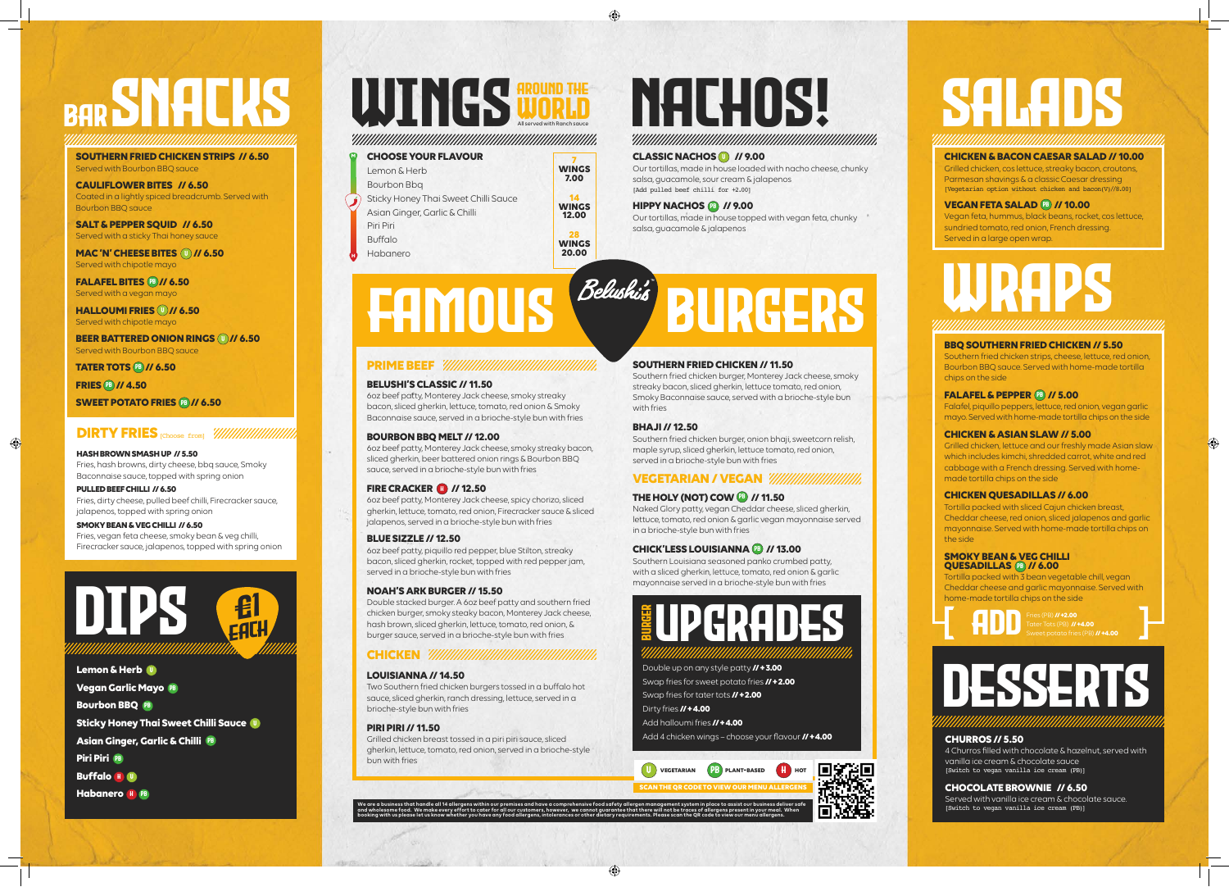## DESSERTS

Our tortillas, made in house loaded with nacho cheese, chunky salsa, guacamole, sour cream & jalapenos [Add pulled beef chilli for +2.00]

#### **HIPPY NACHOS <sup>09</sup> // 9.00**

Our tortillas, made in house topped with vegan feta, chunky salsa, guacamole & jalapenos

# FAMOUS BURGERS

#### **PRIME BEEF** *WINNINININININININININININI*

#### **BBQ SOUTHERN FRIED CHICKEN // 5.50**

Southern fried chicken strips, cheese, lettuce, red onion, Bourbon BBQ sauce. Served with home-made tortilla chips on the side

#### **FALAFEL & PEPPER (B) // 5.00**

#### **SMOKY BEAN & VEG CHILLI QUESADILLAS (PB // 6.00**

Falafel, piquillo peppers, lettuce, red onion, vegan garlic mayo. Served with home-made tortilla chips on the side

#### **CHICKEN & ASIAN SLAW // 5.00**

Grilled chicken, lettuce and our freshly made Asian slaw which includes kimchi, shredded carrot, white and red cabbage with a French dressing. Served with homemade tortilla chips on the side

#### **CHICKEN QUESADILLAS // 6.00**

Tortilla packed with sliced Cajun chicken breast, Cheddar cheese, red onion, sliced jalapenos and garlic mayonnaise. Served with home-made tortilla chips on the side

Tortilla packed with 3 bean vegetable chill, vegan Cheddar cheese and garlic mayonnaise. Served with home-made tortilla chips on the side

#### **BELUSHI'S CLASSIC // 11.50**

6oz beef patty, Monterey Jack cheese, smoky streaky bacon, sliced gherkin, lettuce, tomato, red onion & Smoky Baconnaise sauce, served in a brioche-style bun with fries

#### **BOURBON BBQ MELT // 12.00**

6oz beef patty, Monterey Jack cheese, smoky streaky bacon, sliced gherkin, beer battered onion rings & Bourbon BBQ sauce, served in a brioche-style bun with fries

#### **FIRE CRACKER (1) // 12.50**

6oz beef patty, Monterey Jack cheese, spicy chorizo, sliced gherkin, lettuce, tomato, red onion, Firecracker sauce & sliced jalapenos, served in a brioche-style bun with fries

#### **BLUE SIZZLE // 12.50**

6oz beef patty, piquillo red pepper, blue Stilton, streaky bacon, sliced gherkin, rocket, topped with red pepper jam, served in a brioche-style bun with fries

#### **NOAH'S ARK BURGER // 15.50**

Double stacked burger. A 6oz beef patty and southern fried chicken burger, smoky steaky bacon, Monterey Jack cheese, hash brown, sliced gherkin, lettuce, tomato, red onion, & burger sauce, served in a brioche-style bun with fries

### **CHICKEN**

Fries (PB) **// +2.00** Tater Tots (PB) **// +4.00** Fries (PB) **// +2.00**<br>Tater Tots (PB) **// +4.00**<br>Sweet potato fries (PB) **// +4.00** 

#### **LOUISIANNA // 14.50**

**Lemon & Herb**  V **Vegan Garlic Mayo Bourbon BBQ Sticky Honey Thai Sweet Chilli Sauce**  V **Asian Ginger, Garlic & Chilli**  pb **Piri Piri**  pb **Buffalo H Habanero H PB** 

## WINGS NORD NACHOS! All served with Ranch sauce AROUND THE **All served with Ranch squee**

Two Southern fried chicken burgers tossed in a buffalo hot sauce, sliced gherkin, ranch dressing, lettuce, served in a brioche-style bun with fries

#### **PIRI PIRI // 11.50**

Grilled chicken breast tossed in a piri piri sauce, sliced gherkin, lettuce, tomato, red onion, served in a brioche-style bun with fries

**MAC 'N' CHEESE BITES (U) // 6.50** Served with chipotle mayo

**FALAFEL BITES (PB)// 6.50** Served with a vegan mayo

**HALLOUMI FRIES (U)// 6.50** Served with chipotle mayo

**BEER BATTERED ONION RINGS (U)// 6.50** Served with Bourbon BBQ sauce

> **We are a business that handle all 14 allergens within our premises and have a comprehensive food safety allergen management system in place to assist our business deliver safe and wholesome food. We make every effort to cater for all our customers, however, we cannot guarantee that there will not be traces of allergens present in your meal. When**

Grilled chicken, cos lettuce, streaky bacon, croutons, Parmesan shavings & a classic Caesar dressing [Vegetarian option without chicken and  $bacon(V)/8.00$ ]

#### **VEGAN FETA SALAD (B) // 10.00**

**booking with us please let us know whether you have any food allergens, intolerances or other dietary requirements. Please scan the QR code to view our menu allergens.**

#### **CHURROS // 5.50**

4 Churros filled with chocolate & hazelnut, served with vanilla ice cream & chocolate sauce [Switch to vegan vanilla ice cream (PB)]

#### **CHOCOLATE BROWNIE // 6.50**

Served with vanilla ice cream & chocolate sauce. [Switch to vegan vanilla ice cream (PB)]



Double up on any style patty **// + 3.00**  Swap fries for sweet potato fries **// + 2.00**  Swap fries for tater tots **// + 2.00**  Dirty fries **// + 4.00**  Add halloumi fries **// + 4.00** 

Add 4 chicken wings – choose your flavour **// + 4.00** 

#### **SOUTHERN FRIED CHICKEN // 11.50**

Southern fried chicken burger, Monterey Jack cheese, smoky streaky bacon, sliced gherkin, lettuce tomato, red onion, Smoky Baconnaise sauce, served with a brioche-style bun with fries

#### **BHAJI // 12.50**

Southern fried chicken burger, onion bhaji, sweetcorn relish, maple syrup, sliced gherkin, lettuce tomato, red onion, served in a brioche-style bun with fries

### **VEGETARIAN / VEGAN**

#### **THE HOLY (NOT) COW <b>B** // 11.50

Naked Glory patty, vegan Cheddar cheese, sliced gherkin, lettuce, tomato, red onion & garlic vegan mayonnaise served in a brioche-style bun with fries

#### **CHICK'LESS LOUISIANNA <sup>(pp</sup> // 13.00**

Southern Louisiana seasoned panko crumbed patty, with a sliced gherkin, lettuce, tomato, red onion & garlic mayonnaise served in a brioche-style bun with fries

## SALADS







## BAR SNACKS

#### **SOUTHERN FRIED CHICKEN STRIPS // 6.50**  Served with Bourbon BBQ sauce

**CAULIFLOWER BITES // 6.50**  Coated in a lightly spiced breadcrumb. Served with Bourbon BBQ sauce

**SALT & PEPPER SQUID // 6.50** Served with a sticky Thai honey sauce

pb **TATER TOTS // 6.50** 

pb **FRIES // 4.50** 

**SWEET POTATO FRIES <sup>(B)</sup>// 6.50** 

| <b>CHOOSE YOUR FLAVOUR</b>           |                             |
|--------------------------------------|-----------------------------|
| Lemon & Herb                         | <b>WINGS</b><br>7.00        |
| Bourbon Bbg                          |                             |
| Sticky Honey Thai Sweet Chilli Sauce | 14<br><b>WINGS</b><br>12.00 |
| Asian Ginger, Garlic & Chilli        |                             |
| Piri Piri                            |                             |
| <b>Buffalo</b>                       | 28<br><b>WINGS</b>          |
| Habanero                             | 20.00                       |
|                                      |                             |

#### **CLASSIC NACHOS W** // 9.00

**M**

**H**

**CHICKEN & BACON CAESAR SALAD // 10.00** 

Vegan feta, hummus, black beans, rocket, cos lettuce, sundried tomato, red onion, French dressing. Served in a large open wrap.

**HASH BROWN SMASH UP // 5.50**  Fries, hash browns, dirty cheese, bbq sauce, Smoky Baconnaise sauce, topped with spring onion

**PULLED BEEF CHILLI // 6.50**  Fries, dirty cheese, pulled beef chilli, Firecracker sauce, jalapenos, topped with spring onion

#### **SMOKY BEAN & VEG CHILLI // 6.50**  Fries, vegan feta cheese, smoky bean & veg chilli, Firecracker sauce, jalapenos, topped with spring onion

### **DIRTY FRIES** [Choose from]